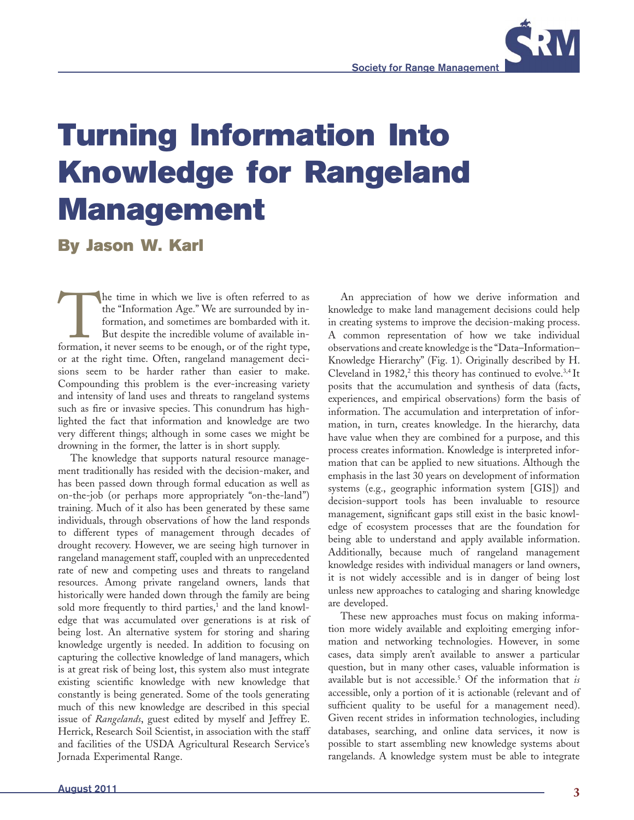

## **Turning Information Into Knowledge for Rangeland Management**

**By Jason W. Karl**

The time in which we live is often referred to as the "Information, and sometimes are bombarded with it. But despite the incredible volume of available information, it never seems to be enough, or of the right type, the "Information Age." We are surrounded by information, and sometimes are bombarded with it. But despite the incredible volume of available inor at the right time. Often, rangeland management decisions seem to be harder rather than easier to make. Compounding this problem is the ever-increasing variety and intensity of land uses and threats to rangeland systems such as fire or invasive species. This conundrum has highlighted the fact that information and knowledge are two very different things; although in some cases we might be drowning in the former, the latter is in short supply.

The knowledge that supports natural resource management traditionally has resided with the decision-maker, and has been passed down through formal education as well as on-the-job (or perhaps more appropriately "on-the-land") training. Much of it also has been generated by these same individuals, through observations of how the land responds to different types of management through decades of drought recovery. However, we are seeing high turnover in rangeland management staff, coupled with an unprecedented rate of new and competing uses and threats to rangeland resources. Among private rangeland owners, lands that historically were handed down through the family are being sold more frequently to third parties,<sup>1</sup> and the land knowledge that was accumulated over generations is at risk of being lost. An alternative system for storing and sharing knowledge urgently is needed. In addition to focusing on capturing the collective knowledge of land managers, which is at great risk of being lost, this system also must integrate existing scientific knowledge with new knowledge that constantly is being generated. Some of the tools generating much of this new knowledge are described in this special issue of *Rangelands*, guest edited by myself and Jeffrey E. Herrick, Research Soil Scientist, in association with the staff and facilities of the USDA Agricultural Research Service's Jornada Experimental Range.

An appreciation of how we derive information and knowledge to make land management decisions could help in creating systems to improve the decision-making process. A common representation of how we take individual observations and create knowledge is the "Data–Information– Knowledge Hierarchy" (Fig. 1). Originally described by H. Cleveland in  $1982$ ,<sup>2</sup> this theory has continued to evolve.<sup>3,4</sup> It posits that the accumulation and synthesis of data (facts, experiences, and empirical observations) form the basis of information. The accumulation and interpretation of information, in turn, creates knowledge. In the hierarchy, data have value when they are combined for a purpose, and this process creates information. Knowledge is interpreted information that can be applied to new situations. Although the emphasis in the last 30 years on development of information systems (e.g., geographic information system [GIS]) and decision-support tools has been invaluable to resource management, significant gaps still exist in the basic knowledge of ecosystem processes that are the foundation for being able to understand and apply available information. Additionally, because much of rangeland management knowledge resides with individual managers or land owners, it is not widely accessible and is in danger of being lost unless new approaches to cataloging and sharing knowledge are developed.

These new approaches must focus on making information more widely available and exploiting emerging information and networking technologies. However, in some cases, data simply aren't available to answer a particular question, but in many other cases, valuable information is available but is not accessible.5 Of the information that *is* accessible, only a portion of it is actionable (relevant and of sufficient quality to be useful for a management need). Given recent strides in information technologies, including databases, searching, and online data services, it now is possible to start assembling new knowledge systems about rangelands. A knowledge system must be able to integrate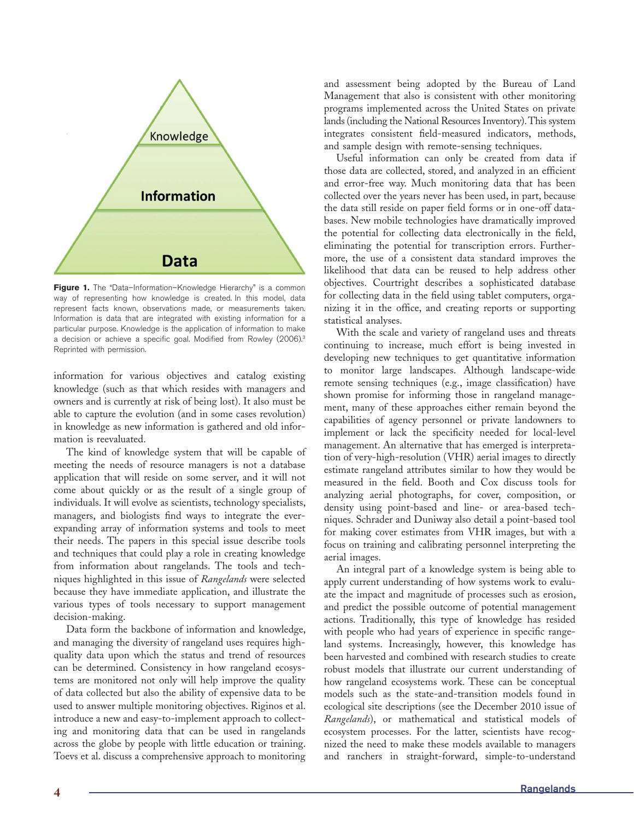

Figure 1. The "Data-Information-Knowledge Hierarchy" is a common way of representing how knowledge is created. In this model, data represent facts known, observations made, or measurements taken. Information is data that are integrated with existing information for a particular purpose. Knowledge is the application of information to make a decision or achieve a specific goal. Modified from Rowley (2006).<sup>3</sup> Reprinted with permission.

information for various objectives and catalog existing knowledge (such as that which resides with managers and owners and is currently at risk of being lost). It also must be able to capture the evolution (and in some cases revolution) in knowledge as new information is gathered and old information is reevaluated.

The kind of knowledge system that will be capable of meeting the needs of resource managers is not a database application that will reside on some server, and it will not come about quickly or as the result of a single group of individuals. It will evolve as scientists, technology specialists, managers, and biologists find ways to integrate the everexpanding array of information systems and tools to meet their needs. The papers in this special issue describe tools and techniques that could play a role in creating knowledge from information about rangelands. The tools and techniques highlighted in this issue of *Rangelands* were selected because they have immediate application, and illustrate the various types of tools necessary to support management decision-making.

Data form the backbone of information and knowledge, and managing the diversity of rangeland uses requires highquality data upon which the status and trend of resources can be determined. Consistency in how rangeland ecosystems are monitored not only will help improve the quality of data collected but also the ability of expensive data to be used to answer multiple monitoring objectives. Riginos et al. introduce a new and easy-to-implement approach to collecting and monitoring data that can be used in rangelands across the globe by people with little education or training. Toevs et al. discuss a comprehensive approach to monitoring and assessment being adopted by the Bureau of Land Management that also is consistent with other monitoring programs implemented across the United States on private lands (including the National Resources Inventory). This system integrates consistent field-measured indicators, methods, and sample design with remote-sensing techniques.

Useful information can only be created from data if those data are collected, stored, and analyzed in an efficient and error-free way. Much monitoring data that has been collected over the years never has been used, in part, because the data still reside on paper field forms or in one-off databases. New mobile technologies have dramatically improved the potential for collecting data electronically in the field, eliminating the potential for transcription errors. Furthermore, the use of a consistent data standard improves the likelihood that data can be reused to help address other objectives. Courtright describes a sophisticated database for collecting data in the field using tablet computers, organizing it in the office, and creating reports or supporting statistical analyses.

With the scale and variety of rangeland uses and threats continuing to increase, much effort is being invested in developing new techniques to get quantitative information to monitor large landscapes. Although landscape-wide remote sensing techniques (e.g., image classification) have shown promise for informing those in rangeland management, many of these approaches either remain beyond the capabilities of agency personnel or private landowners to implement or lack the specificity needed for local-level management. An alternative that has emerged is interpretation of very-high-resolution (VHR) aerial images to directly estimate rangeland attributes similar to how they would be measured in the field. Booth and Cox discuss tools for analyzing aerial photographs, for cover, composition, or density using point-based and line- or area-based techniques. Schrader and Duniway also detail a point-based tool for making cover estimates from VHR images, but with a focus on training and calibrating personnel interpreting the aerial images.

An integral part of a knowledge system is being able to apply current understanding of how systems work to evaluate the impact and magnitude of processes such as erosion, and predict the possible outcome of potential management actions. Traditionally, this type of knowledge has resided with people who had years of experience in specific rangeland systems. Increasingly, however, this knowledge has been harvested and combined with research studies to create robust models that illustrate our current understanding of how rangeland ecosystems work. These can be conceptual models such as the state-and-transition models found in ecological site descriptions (see the December 2010 issue of *Rangelands*), or mathematical and statistical models of ecosystem processes. For the latter, scientists have recognized the need to make these models available to managers and ranchers in straight-forward, simple-to-understand